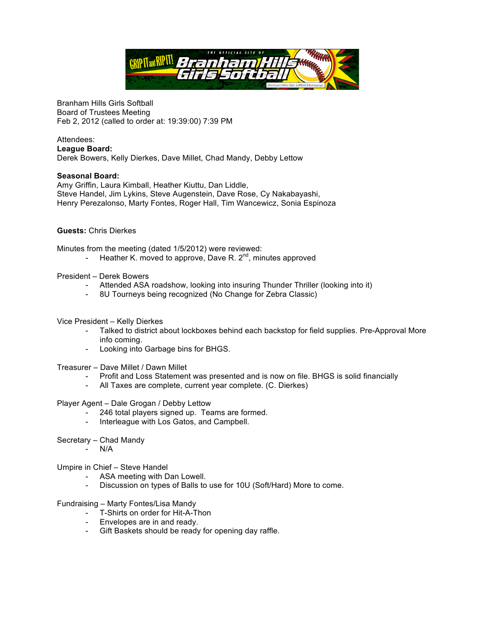

Branham Hills Girls Softball Board of Trustees Meeting Feb 2, 2012 (called to order at: 19:39:00) 7:39 PM

#### Attendees: **League Board:**

Derek Bowers, Kelly Dierkes, Dave Millet, Chad Mandy, Debby Lettow

# **Seasonal Board:**

Amy Griffin, Laura Kimball, Heather Kiuttu, Dan Liddle, Steve Handel, Jim Lykins, Steve Augenstein, Dave Rose, Cy Nakabayashi, Henry Perezalonso, Marty Fontes, Roger Hall, Tim Wancewicz, Sonia Espinoza

## **Guests:** Chris Dierkes

Minutes from the meeting (dated 1/5/2012) were reviewed:

- Heather K. moved to approve, Dave R.  $2^{nd}$ , minutes approved
- President Derek Bowers
	- Attended ASA roadshow, looking into insuring Thunder Thriller (looking into it)
	- 8U Tourneys being recognized (No Change for Zebra Classic)

### Vice President – Kelly Dierkes

- Talked to district about lockboxes behind each backstop for field supplies. Pre-Approval More info coming.
- Looking into Garbage bins for BHGS.

Treasurer – Dave Millet / Dawn Millet

- Profit and Loss Statement was presented and is now on file. BHGS is solid financially
- All Taxes are complete, current year complete. (C. Dierkes)

### Player Agent – Dale Grogan / Debby Lettow

- 246 total players signed up. Teams are formed.
- Interleague with Los Gatos, and Campbell.
- Secretary Chad Mandy
	- N/A

Umpire in Chief – Steve Handel

- ASA meeting with Dan Lowell.
- Discussion on types of Balls to use for 10U (Soft/Hard) More to come.

### Fundraising – Marty Fontes/Lisa Mandy

- T-Shirts on order for Hit-A-Thon
- Envelopes are in and ready.
- Gift Baskets should be ready for opening day raffle.